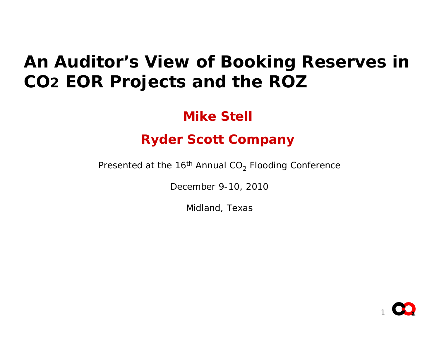### *An Auditor's View of Booking Reserves in CO 2 EOR Projects and the ROZ*

#### **Mike Stell**

#### **Ryder Scott Company**

Presented at the 16<sup>th</sup> Annual CO $_2$  Flooding Conference

December 9-10, 2010

Midland, Texas

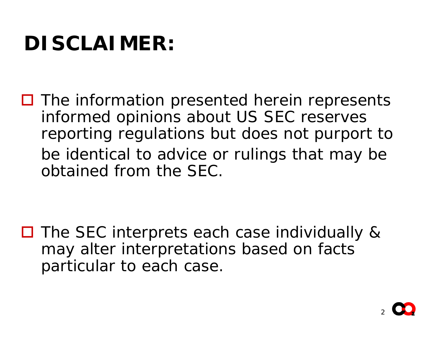# **DISCLAIMER:**

 $\Box$  The information presented herein represents informed opinions about US SEC reserves reporting regulations but does not purport to be identical to advice or rulings that may be obtained from the SEC.

□ The SEC interprets each case individually & may alter interpretations based on facts particular to each case.

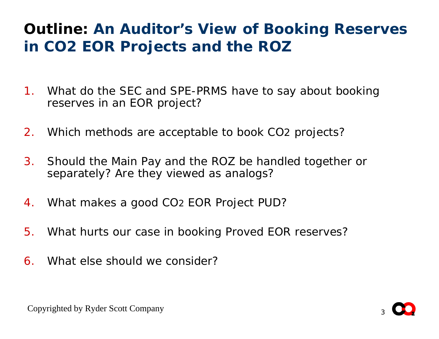#### **Outline:** *An Auditor's View of Booking Reserves in CO2 EOR Projects and the ROZ*

- 1. What do the SEC and SPE-PRMS have to say about booking reserves in an EOR project?
- 2.Which methods are acceptable to book CO2 projects?
- 3. Should the Main Pay and the ROZ be handled together or separately? Are they viewed as analogs?
- 4. What makes a good CO2 EOR Project PUD?
- 5.What hurts our case in booking Proved EOR reserves?
- 6. What else should we consider?

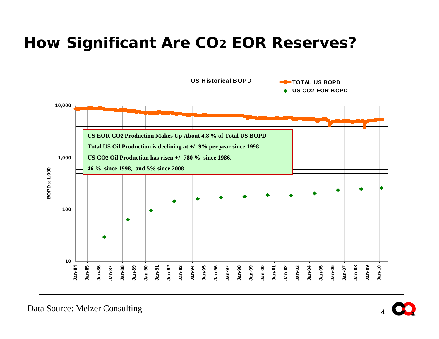#### **How Significant Are CO 2 EOR Reserves?**



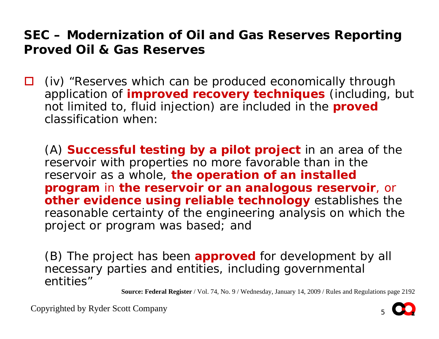$\Box$  *(iv) "Reserves which can be produced economically through application of improved recovery techniques (including, but not limited to, fluid injection) are included in the proved classification when:*

*(A) Successful testing by a pilot project in an area of the reservoir with properties no more favorable than in the reservoir as a whole, the operation of an installed program in the reservoir or an analogous reservoir, or other evidence using reliable technology establishes the reasonable certainty of the engineering analysis on which the project or program was based; and* 

*(B) The project has been approved for development by all necessary parties and entities, including governmental entities"*

**Source: Federal Register** / Vol. 74, No. 9 / Wednesday, January 14, 2009 / Rules and Regulations page 2192

Copyrighted by Ryder Scott Company

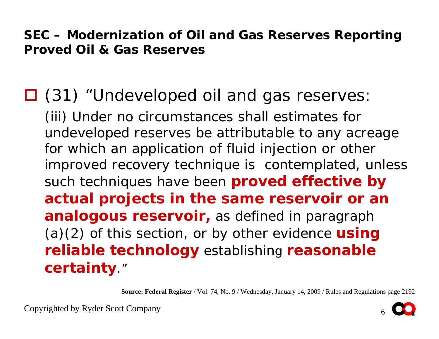*(31) "Undeveloped oil and gas reserves: (iii) Under no circumstances shall estimates for undeveloped reserves be attributable to any acreage*  for which an application of fluid injection or other *improved recovery technique is contemplated, unless such techniques have been proved effective by actual projects in the same reservoir or an analogous reservoir, as defined in paragrap<sup>h</sup> (a)(2) of this section, or by other evidence using reliable technology establishing reasonable certainty."*

**Source: Federal Register** / Vol. 74, No. 9 / Wednesday, January 14, 2009 / Rules and Regulations page 2192

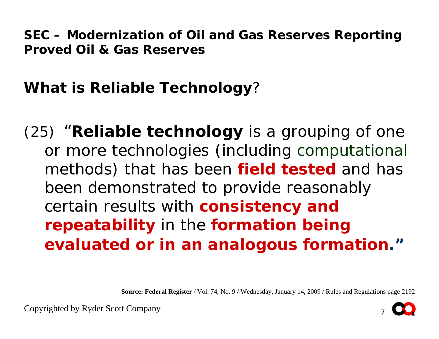**What is Reliable Technology** ?

*(25) "Reliable technology is a grouping of one or more technologies (including computational methods) that has been field tested and has been demonstrated to provide reasonably certain results with consistency and repeatability in the formation being evaluated or in an analogous formation."*

**Source: Federal Register** / Vol. 74, No. 9 / Wednesday, January 14, 2009 / Rules and Regulations page 2192



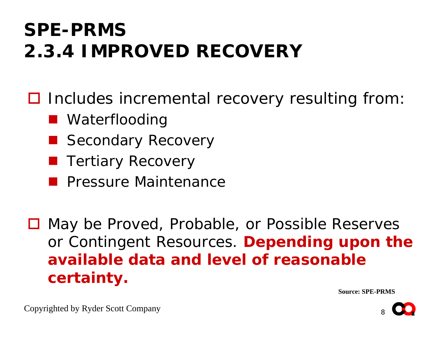## **SPE-PRMS2.3.4 IMPROVED RECOVERY**

□ Includes incremental recovery resulting from:

- Waterflooding
- Secondary Recovery
- **Tertiary Recovery**
- **Paragex Pressure Maintenance**

**□ May be Proved, Probable, or Possible Reserves** or Contingent Resources. **Depending upon the available data and level of reasonable certainty.**

**Source: SPE-PRMS**



Copyrighted by Ryder Scott Company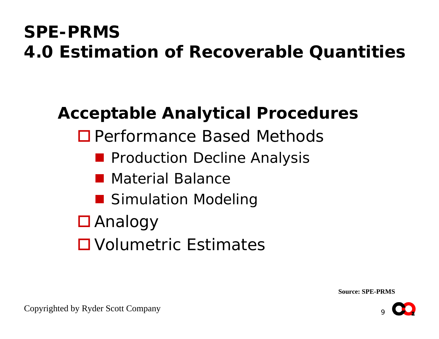### **SPE-PRMS 4.0 Estimation of Recoverable Quantities**

### **Acceptable Analytical Procedures**

- □ Performance Based Methods
	- **Production Decline Analysis**
	- Material Balance
	- **Simulation Modeling**
- Analogy
- Volumetric Estimates

**Source: SPE-PRMS**

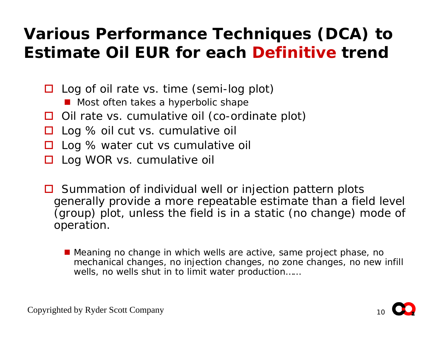#### **Various Performance Techniques (DCA) to Estimate Oil EUR for each** *Definitive* **trend**

- □ Log of oil rate vs. time (semi-log plot)
	- Most often takes a hyperbolic shape
- □ Oil rate vs. cumulative oil (co-ordinate plot)
- $\Box$ Log % oil cut vs. cumulative oil
- $\Box$ Log % water cut vs cumulative oil
- □ Log WOR vs. cumulative oil
- **□** Summation of individual well or injection pattern plots generally provide a more repeatable estimate than a field level (group) plot, unless the field is in a static (no change) mode of operation.
	- Meaning no change in which wells are active, same project phase, no mechanical changes, no injection changes, no zone changes, no new infill wells, no wells shut in to limit water production……

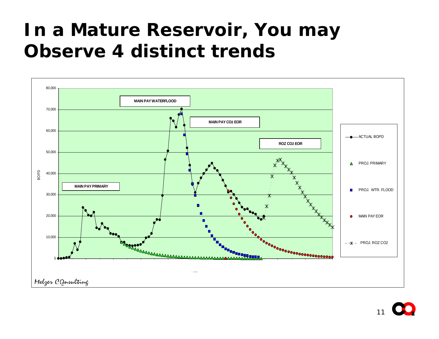## **In a Mature Reservoir, You may Observe 4 distinct trends**

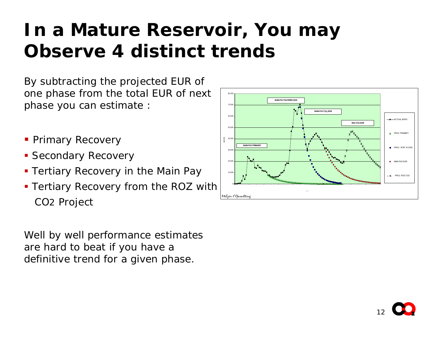## **In a Mature Reservoir, You may Observe 4 distinct trends**

By subtracting the projected EUR of one phase from the total EUR of next phase you can estimate :

- **Primary Recovery**
- **Secondary Recovery**
- **Tertiary Recovery in the Main Pay**
- Tertiary Recovery from the ROZ with CO 2 Project

Well by well performance estimates are hard to beat if you have a definitive trend for a given phase.



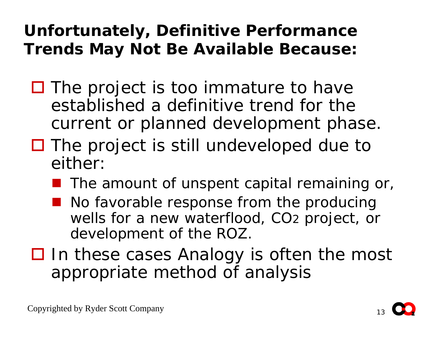### **Unfortunately, Definitive Performance Trends May Not Be Available Because:**

- $\square$  The project is too immature to have established a definitive trend for the current or planned development phase.
- □ The project is still undeveloped due to either:
	- The amount of unspent capital remaining or,
	- No favorable response from the producing wells for a new waterflood, CO 2 project, or development of the ROZ.
- □ In these cases Analogy is often the most appropriate method of analysis

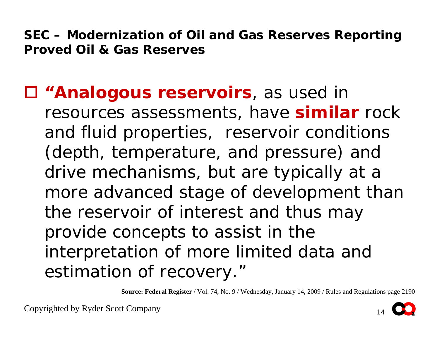#### *"Analogous reservoirs, as used in*

*resources assessments, have similar rock and fluid properties, reservoir conditions (depth, temperature, and pressure) and drive mechanisms, but are typically at a more advanced stage of development than the reservoir of interest and thus may provide concepts to assist in the interpretation of more limited data and estimation of recovery."*

**Source: Federal Register** / Vol. 74, No. 9 / Wednesday, January 14, 2009 / Rules and Regulations page 2190

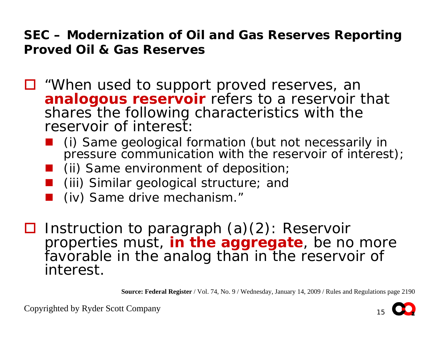- *"When used to support proved reserves, an analogous reservoir refers to a reservoir that shares the following characteristics with the reservoir of interest:*
	- *(i) Same geological formation (but not necessarily in pressure communication with the reservoir of interest);*
	- *(ii) Same environment of deposition;*
	- *(iii) Similar geological structure; and*
	- *(iv) Same drive mechanism."*
- *Instruction to paragraph (a)(2): Reservoir properties must, in the aggregate, be no more*  favorable in the analog than in the reservoir of *interest.*

**Source: Federal Register** / Vol. 74, No. 9 / Wednesday, January 14, 2009 / Rules and Regulations page 2190

Copyrighted by Ryder Scott Company

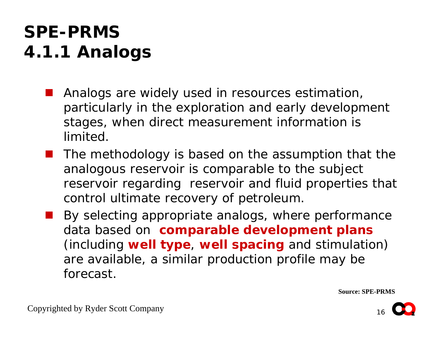### **SPE-PRMS 4.1.1 Analogs**

- *Analogs are widely used in resources estimation, particularly in the exploration and early development stages, when direct measurement information is limited.*
- *The methodology is based on the assumption that the analogous reservoir is comparable to the subject reservoir regarding reservoir and fluid properties that control ultimate recovery of petroleum.*
	- *By selecting appropriate analogs, where performance data based on comparable development plans (including well type, well spacing and stimulation) are available, a similar production profile may be forecast.*

**Source: SPE-PRMS**

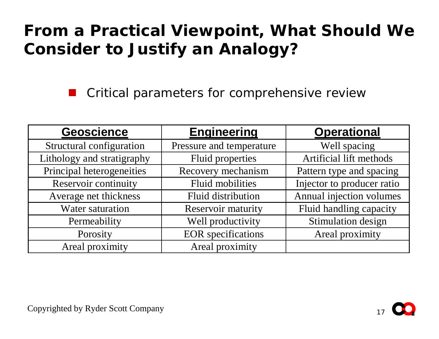### **From a Practical Viewpoint, What Should We Consider to Justify an Analogy?**

Critical parameters for comprehensive review

| <b>Geoscience</b>          | <b>Engineering</b>        | <b>Operational</b>         |
|----------------------------|---------------------------|----------------------------|
| Structural configuration   | Pressure and temperature  | Well spacing               |
| Lithology and stratigraphy | <b>Fluid properties</b>   | Artificial lift methods    |
| Principal heterogeneities  | Recovery mechanism        | Pattern type and spacing   |
| Reservoir continuity       | <b>Fluid mobilities</b>   | Injector to producer ratio |
| Average net thickness      | Fluid distribution        | Annual injection volumes   |
| <b>Water saturation</b>    | <b>Reservoir maturity</b> | Fluid handling capacity    |
| Permeability               | Well productivity         | Stimulation design         |
| Porosity                   | <b>EOR</b> specifications | Areal proximity            |
| Areal proximity            | Areal proximity           |                            |

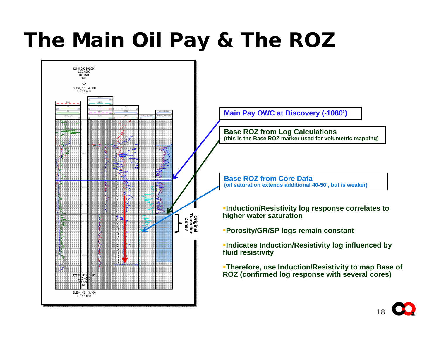# **The Main Oil Pay & The ROZ**



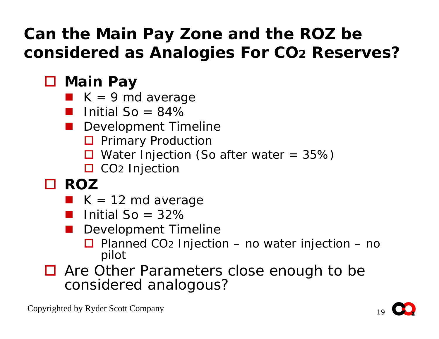### **Can the Main Pay Zone and the ROZ be considered as Analogies For CO2 Reserves?**

### **Main Pay**

- $\blacksquare$  K = 9 md average
- Initial  $So = 84\%$
- **Development Timeline** 
	- **D** Primary Production
	- $\Box$  Water Injection (So after water = 35%)
	- □ CO<sub>2</sub> Injection
- **ROZ**
	- $\blacksquare$  K = 12 md average
	- Initial  $So = 32\%$
	- Development Timeline
		- $\Box$  Planned CO<sub>2</sub> Injection no water injection no pilot
- Are Other Parameters close enough to be considered analogous?

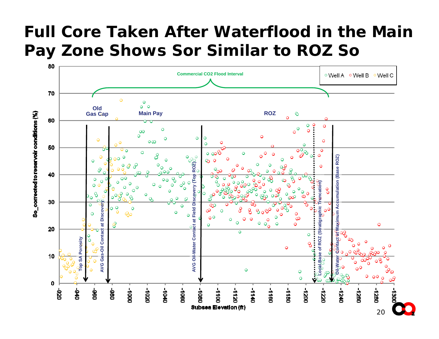#### **Full Core Taken After Waterflood in the Main Pay Zone Shows Sor Similar to ROZ So**

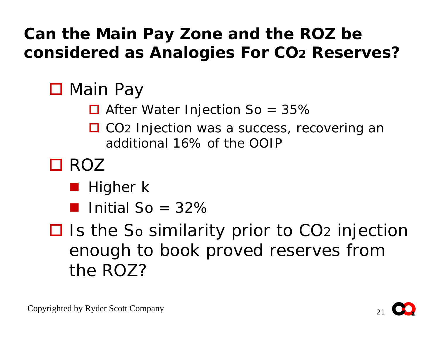### **Can the Main Pay Zone and the ROZ be considered as Analogies For CO 2 Reserves?**

## □ Main Pay

- $\Box$  After Water Injection So = 35%
- □ CO<sub>2</sub> Injection was a success, recovering an additional 16% of the OOIP
- □ ROZ
	- Higher k
	- **Initial So** =  $32\%$
- **□** Is the So similarity prior to CO<sub>2</sub> injection enough to book proved reserves from the ROZ?

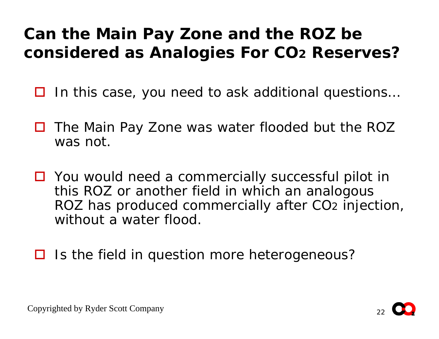### **Can the Main Pay Zone and the ROZ be considered as Analogies For CO 2 Reserves?**

- Ш In this case, you need to ask additional questions…
- $\Box$  The Main Pay Zone was water flooded but the ROZ was not.
- □ You would need a commercially successful pilot in this ROZ or another field in which an analogous ROZ has produced commercially after CO 2 injection, without a water flood.
- □ Is the field in question more heterogeneous?



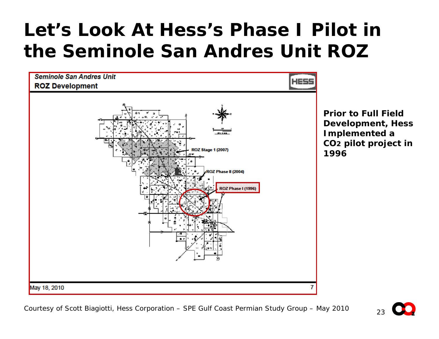## **Let's Look At Hess's Phase I Pilot in the Seminole San Andres Unit ROZ**



Courtesy of Scott Biagiotti, Hess Corporation – SPE Gulf Coast Permian Study Group – May 2010

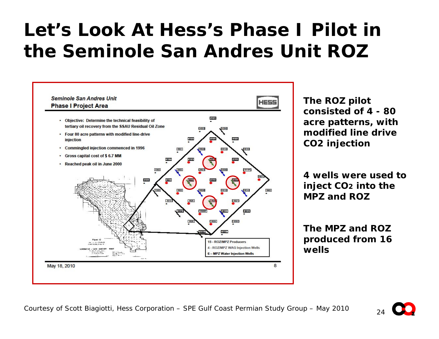## **Let's Look At Hess's Phase I Pilot in the Seminole San Andres Unit ROZ**



**The ROZ pilot consisted of 4 - 80 acre patterns, with modified line drive CO2 injection**

**4 wells were used to inject CO 2 into the MPZ and ROZ**

**The MPZ and ROZ produced from 16 wells**

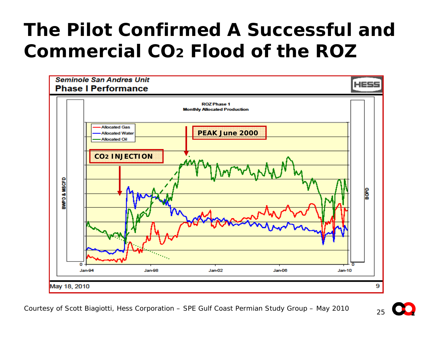## **The Pilot Confirmed A Successful and Commercial CO2 Flood of the ROZ**



Courtesy of Scott Biagiotti, Hess Corporation – SPE Gulf Coast Permian Study Group – May 2010

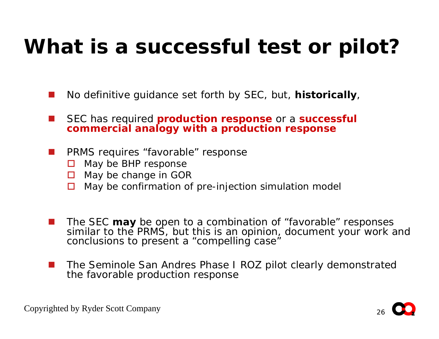# **What is a successful test or pilot?**

- F. No definitive guidance set forth by SEC, but, **historically**,
- $\overline{\phantom{a}}$  SEC has required **production response** or a **successful commercial analogy with a production response**
- a sa n PRMS requires "favorable" response
	- $\Box$ May be BHP response
	- □ May be change in GOR
	- May be confirmation of pre-injection simulation model
- $\overline{\phantom{a}}$  The SEC **may** be open to a combination of "favorable" responses similar to the PRMS, but this is an opinion, document your work and conclusions to present a "compelling case"
- **The Co**  The Seminole San Andres Phase I ROZ pilot clearly demonstrated the favorable production response

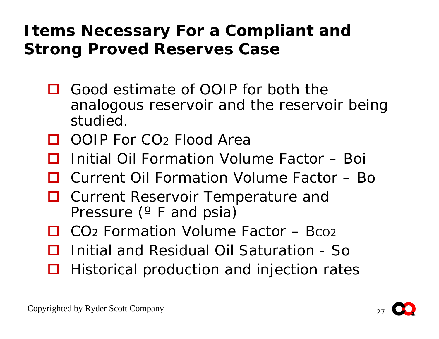### **Items Necessary For a Compliant and Strong Proved Reserves Case**

- □ Good estimate of OOIP for both the analogous reservoir and the reservoir being studied.
- □ OOIP For CO2 Flood Area
- $\Box$ Initial Oil Formation Volume Factor – Boi
- □ Current Oil Formation Volume Factor Bo
- $\Box$  Current Reservoir Temperature and Pressure (º F and psia)
- $\Box$  CO<sub>2</sub> Formation Volume Factor Bco<sub>2</sub>
- $\Box$ Initial and Residual Oil Saturation - So
- $\Box$ Historical production and injection rates

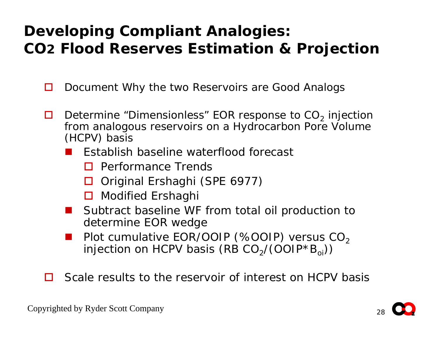#### **Developing Compliant Analogies: CO2 Flood Reserves Estimation & Projection**

- $\Box$ Document Why the two Reservoirs are Good Analogs
- $\Box$  $\Box$  Determine "Dimensionless" EOR response to CO<sub>2</sub> injection from analogous reservoirs on a Hydrocarbon Pore Volume (HCPV) basis
	- $\mathcal{L}_{\mathcal{A}}$  Establish baseline waterflood forecast
		- **D** Performance Trends
		- □ Original Ershaghi (SPE 6977)
		- **□** Modified Ershaghi
	- Subtract baseline WF from total oil production to determine EOR wedge
	- $\mathbb{R}^3$ Plot cumulative EOR/OOIP (%OOIP) versus  $CO<sub>2</sub>$ injection on HCPV basis (RB  $CO_2/(OOIP*B_{oi})$ )
- $\Box$ Scale results to the reservoir of interest on HCPV basis

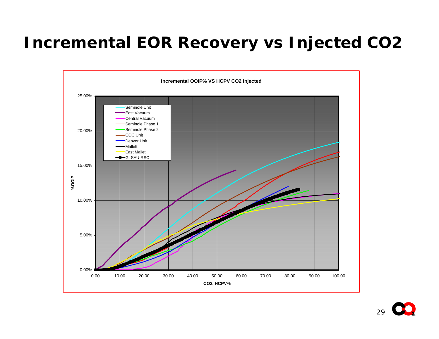#### **Incremental EOR Recovery vs Injected CO2**

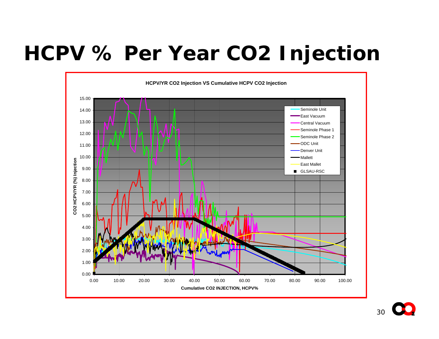# **HCPV % Per Year CO2 Injection**

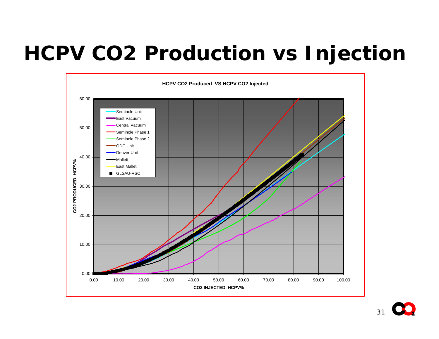# **HCPV CO2 Production vs Injection**

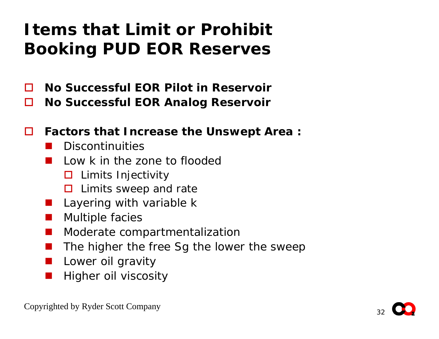### **Items that Limit or ProhibitBooking PUD EOR Reserves**

- $\Box$ **No Successful EOR Pilot in Reservoir**
- П **No Successful EOR Analog Reservoir**
- $\Box$  **Factors that Increase the Unswept Area :**
	- $\mathbb{R}^3$ Discontinuities
	- Low k in the zone to flooded
		- $\square$  Limits Injectivity
		- $\square$  Limits sweep and rate
	- $\mathbb{R}^3$ Layering with variable k
	- Multiple facies
	- **The Co** Moderate compartmentalization
	- $\mathbb{R}^3$ The higher the free Sg the lower the sweep
	- **The Second** Lower oil gravity
	- $\mathbb{R}^3$ Higher oil viscosity

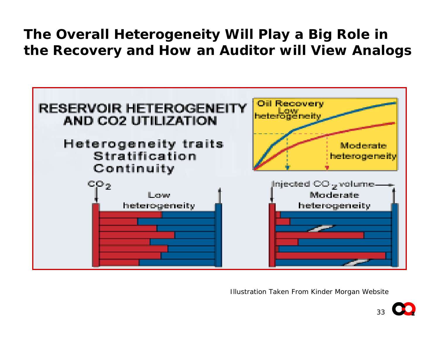#### **The Overall Heterogeneity Will Play a Big Role in the Recovery and How an Auditor will View Analogs**



Illustration Taken From Kinder Morgan Website

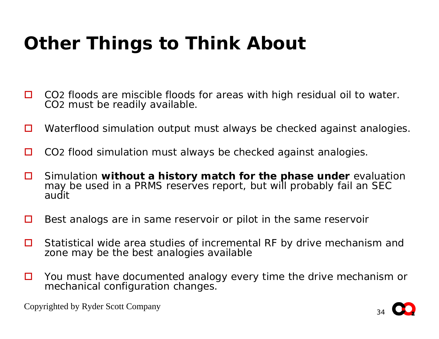## **Other Things to Think About**

- $\Box$ □ CO2 floods are miscible floods for areas with high residual oil to water. CO 2 must be readily available.
- $\Box$ Waterflood simulation output must always be checked against analogies.
- $\Box$ □ CO2 flood simulation must always be checked against analogies.
- $\Box$  Simulation **without a history match for the phase under** evaluation may be used in a PRMS reserves report, but will probably fail an SEC audit
- $\Box$ Best analogs are in same reservoir or pilot in the same reservoir
- $\Box$  Statistical wide area studies of incremental RF by drive mechanism and zone may be the best analogies available
- $\Box$  You must have documented analogy every time the drive mechanism or mechanical configuration changes.

Copyrighted by Ryder Scott Company